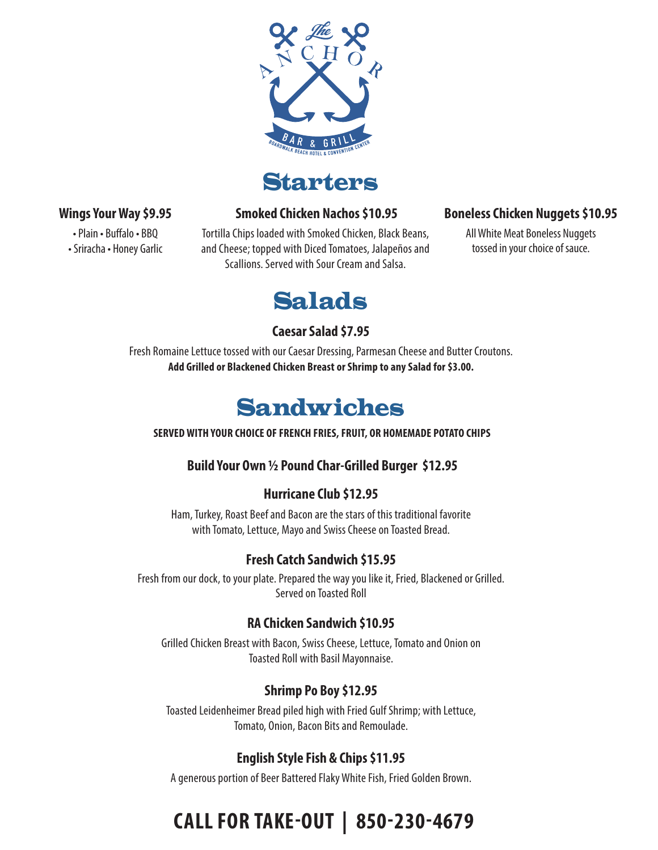

**Starters** 

#### **Wings Your Way \$9.95**

• Plain • Buffalo • BBQ

• Sriracha • Honey Garlic

Tortilla Chips loaded with Smoked Chicken, Black Beans, and Cheese; topped with Diced Tomatoes, Jalapeños and Scallions. Served with Sour Cream and Salsa.

 **Smoked Chicken Nachos \$10.95** 

### **Boneless Chicken Nuggets \$10.95**

All White Meat Boneless Nuggets tossed in your choice of sauce.

# Salads

### **Caesar Salad \$7.95**

Fresh Romaine Lettuce tossed with our Caesar Dressing, Parmesan Cheese and Butter Croutons. **Add Grilled or Blackened Chicken Breast or Shrimp to any Salad for \$3.00.**

# Sandwiches

 **SERVED WITH YOUR CHOICE OF FRENCH FRIES, FRUIT, OR HOMEMADE POTATO CHIPS**

### **Build Your Own ½ Pound Char-Grilled Burger \$12.95**

### **Hurricane Club \$12.95**

Ham, Turkey, Roast Beef and Bacon are the stars of this traditional favorite with Tomato, Lettuce, Mayo and Swiss Cheese on Toasted Bread.

## **Fresh Catch Sandwich \$15.95**

Fresh from our dock, to your plate. Prepared the way you like it, Fried, Blackened or Grilled. Served on Toasted Roll

### **RA Chicken Sandwich \$10.95**

Grilled Chicken Breast with Bacon, Swiss Cheese, Lettuce, Tomato and Onion on Toasted Roll with Basil Mayonnaise.

### **Shrimp Po Boy \$12.95**

Toasted Leidenheimer Bread piled high with Fried Gulf Shrimp; with Lettuce, Tomato, Onion, Bacon Bits and Remoulade.

## **English Style Fish & Chips \$11.95**

A generous portion of Beer Battered Flaky White Fish, Fried Golden Brown.

# **CALL FOR TAKE-OUT | 850-230-4679**